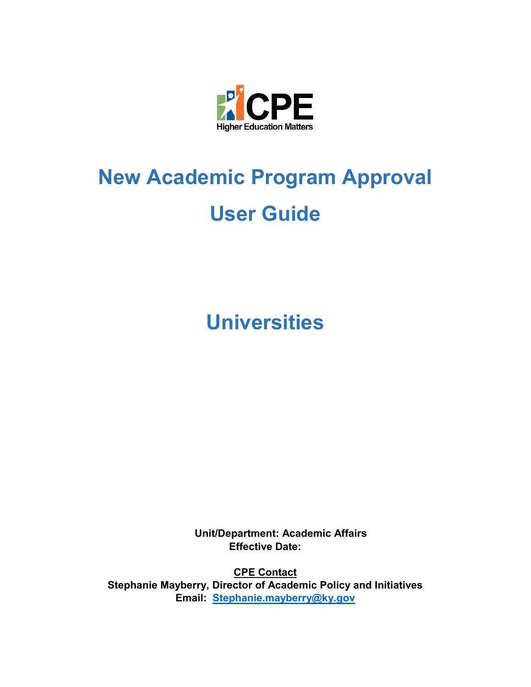

# **New Academic Program Approval User Guide**

**Universities**

**Unit/Department: Academic Affairs Effective Date:** 

**CPE Contact Stephanie Mayberry, Director of Academic Policy and Initiatives Email: [Stephanie.mayberry@ky.gov](mailto:Stephanie.mayberry@ky.gov)**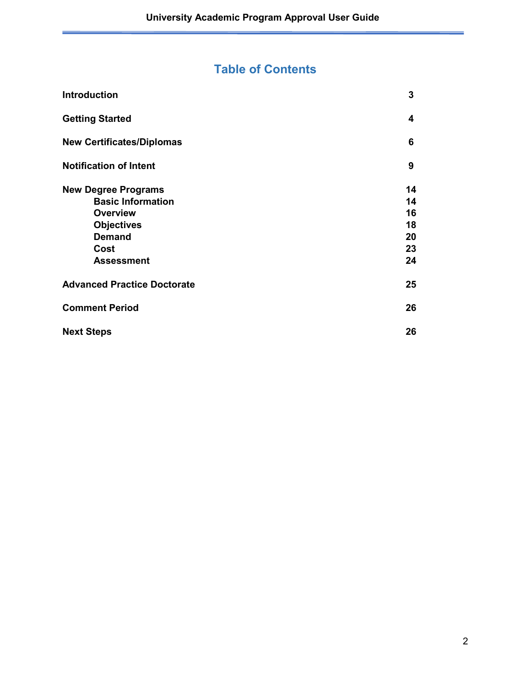# **Table of Contents**

| <b>Introduction</b>                | 3  |
|------------------------------------|----|
| <b>Getting Started</b>             | 4  |
| <b>New Certificates/Diplomas</b>   | 6  |
| <b>Notification of Intent</b>      | 9  |
| <b>New Degree Programs</b>         | 14 |
| <b>Basic Information</b>           | 14 |
| <b>Overview</b>                    | 16 |
| <b>Objectives</b>                  | 18 |
| <b>Demand</b>                      | 20 |
| Cost                               | 23 |
| <b>Assessment</b>                  | 24 |
| <b>Advanced Practice Doctorate</b> | 25 |
| <b>Comment Period</b>              | 26 |
| <b>Next Steps</b>                  | 26 |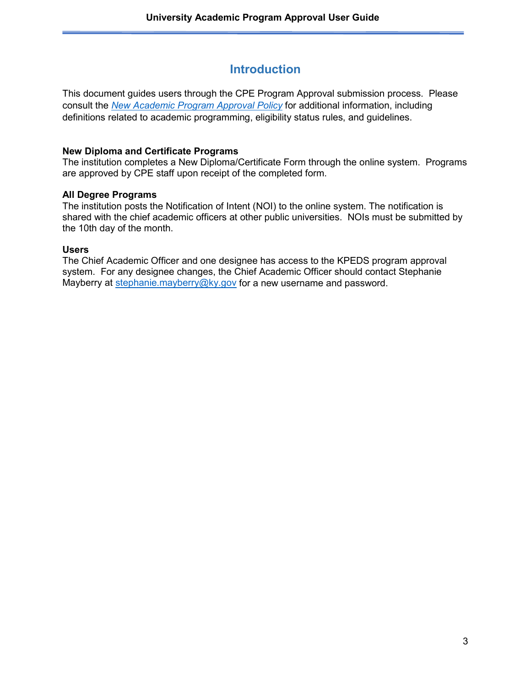# **Introduction**

This document guides users through the CPE Program Approval submission process. Please consult the *[New Academic Program Approval Policy](http://cpe.ky.gov/policies/academicaffairs/newacademicprogramapprovalpolicy.pdf)* for additional information, including definitions related to academic programming, eligibility status rules, and guidelines.

#### **New Diploma and Certificate Programs**

The institution completes a New Diploma/Certificate Form through the online system. Programs are approved by CPE staff upon receipt of the completed form.

#### **All Degree Programs**

The institution posts the Notification of Intent (NOI) to the online system. The notification is shared with the chief academic officers at other public universities. NOIs must be submitted by the 10th day of the month.

#### **Users**

The Chief Academic Officer and one designee has access to the KPEDS program approval system. For any designee changes, the Chief Academic Officer should contact Stephanie Mayberry at [stephanie.mayberry@ky.gov](mailto:stephanie.mayberry@ky.gov) for a new username and password.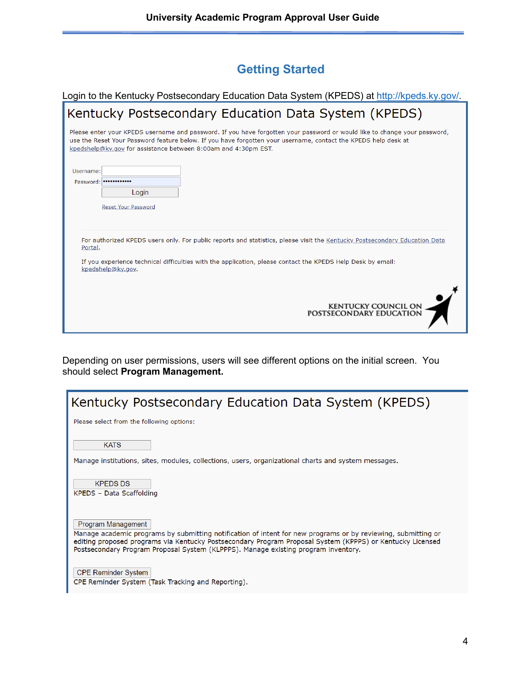# **Getting Started**

| Login to the Kentucky Postsecondary Education Data System (KPEDS) at http://kpeds.ky.gov/.                                                                                                                                                                                                                    |
|---------------------------------------------------------------------------------------------------------------------------------------------------------------------------------------------------------------------------------------------------------------------------------------------------------------|
| Kentucky Postsecondary Education Data System (KPEDS)                                                                                                                                                                                                                                                          |
| Please enter your KPEDS username and password. If you have forgotten your password or would like to change your password,<br>use the Reset Your Password feature below. If you have forgotten your username, contact the KPEDS help desk at<br>kpedshelp@ky.gov for assistance between 8:00am and 4:30pm EST. |
| Username:                                                                                                                                                                                                                                                                                                     |
| Password:                                                                                                                                                                                                                                                                                                     |
| Login                                                                                                                                                                                                                                                                                                         |
| Reset Your Password                                                                                                                                                                                                                                                                                           |
|                                                                                                                                                                                                                                                                                                               |
| For authorized KPEDS users only. For public reports and statistics, please visit the Kentucky Postsecondary Education Data<br>Portal.<br>If you experience technical difficulties with the application, please contact the KPEDS Help Desk by email:<br>kpedshelp@ky.gov.                                     |
| <b>KENTUCKY COUNCIL ON</b><br>POSTSECONDARY EDUCATION                                                                                                                                                                                                                                                         |

Depending on user permissions, users will see different options on the initial screen. You should select **Program Management.**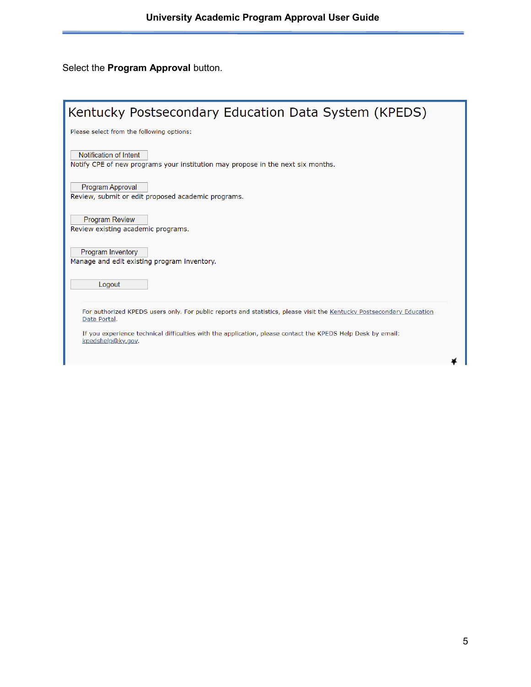# Select the **Program Approval** button.

| Kentucky Postsecondary Education Data System (KPEDS)                                                                                  |
|---------------------------------------------------------------------------------------------------------------------------------------|
| Please select from the following options:                                                                                             |
| Notification of Intent<br>Notify CPE of new programs your institution may propose in the next six months.                             |
| <b>Program Approval</b><br>Review, submit or edit proposed academic programs.                                                         |
| <b>Program Review</b><br>Review existing academic programs.                                                                           |
| Program Inventory<br>Manage and edit existing program inventory.                                                                      |
| Logout                                                                                                                                |
| For authorized KPEDS users only. For public reports and statistics, please visit the Kentucky Postsecondary Education<br>Data Portal. |
| If you experience technical difficulties with the application, please contact the KPEDS Help Desk by email:<br>kpedshelp@ky.gov.      |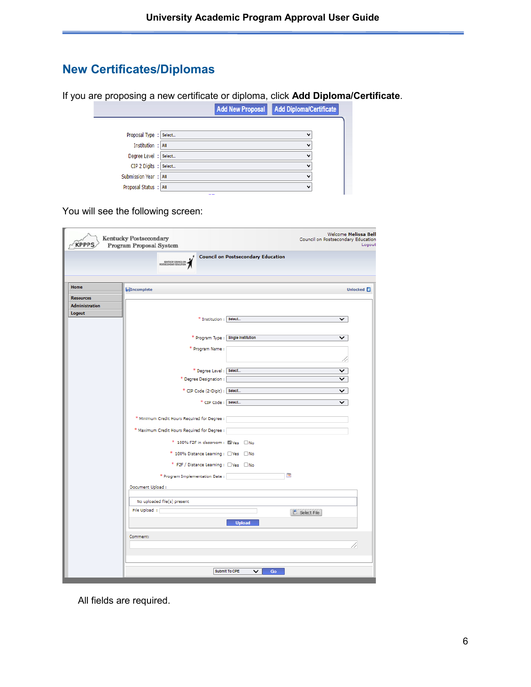# **New Certificates/Diplomas**

If you are proposing a new certificate or diploma, click **Add Diploma/Certificate**.

|                         |     | <b>Add New Proposal</b> | Add Diploma/Certificate |  |
|-------------------------|-----|-------------------------|-------------------------|--|
|                         |     |                         |                         |  |
| Proposal Type : Select  |     |                         | v                       |  |
| Institution : All       |     |                         | $\check{ }$             |  |
| Degree Level : Select   |     |                         | $\check{ }$             |  |
| CIP 2 Digits : Select   |     |                         | $\check{ }$             |  |
| Submission Year :   All |     |                         | $\check{ }$             |  |
| Proposal Status : All   |     |                         | $\check{ }$             |  |
|                         | $-$ |                         |                         |  |

You will see the following screen:

| <b>KPPPS</b>                              | Welcome Melissa Bell<br>Kentucky Postsecondary<br>Council on Postsecondary Education<br>Program Proposal System<br>Logout |
|-------------------------------------------|---------------------------------------------------------------------------------------------------------------------------|
|                                           | <b>Council on Postsecondary Education</b><br>KENTUCKY COUNCIL ON                                                          |
|                                           |                                                                                                                           |
| Home                                      | Incomplete<br><b>Unlocked</b>                                                                                             |
| <b>Resources</b><br><b>Administration</b> |                                                                                                                           |
| Logout                                    |                                                                                                                           |
|                                           | * Institution : Select<br>v                                                                                               |
|                                           | * Program Type : Single Institution<br>◡                                                                                  |
|                                           | * Program Name:                                                                                                           |
|                                           |                                                                                                                           |
|                                           | * Degree Level : Select<br>◡                                                                                              |
|                                           | * Degree Designation :<br>$\check{ }$                                                                                     |
|                                           | * CIP Code (2-Digit) : Select<br>$\checkmark$                                                                             |
|                                           | * CIP Code : Select<br>◡                                                                                                  |
|                                           | * Minimum Credit Hours Required for Degree :                                                                              |
|                                           | * Maximum Credit Hours Required for Degree : [                                                                            |
|                                           | * 100% F2F in classroom: N Yes No                                                                                         |
|                                           | * 100% Distance Learning : Nes No                                                                                         |
|                                           | * F2F / Distance Learning : DVes DNo                                                                                      |
|                                           | $\overline{12}$<br>* Program Implementation Date:                                                                         |
|                                           | Document Upload :                                                                                                         |
|                                           | No uploaded file(s) present                                                                                               |
|                                           | File Upload :<br>Select File                                                                                              |
|                                           | <b>Upload</b>                                                                                                             |
|                                           | Comment:                                                                                                                  |
|                                           |                                                                                                                           |
|                                           |                                                                                                                           |
|                                           | Submit To CPE<br>$\check{ }$<br>Go                                                                                        |

All fields are required.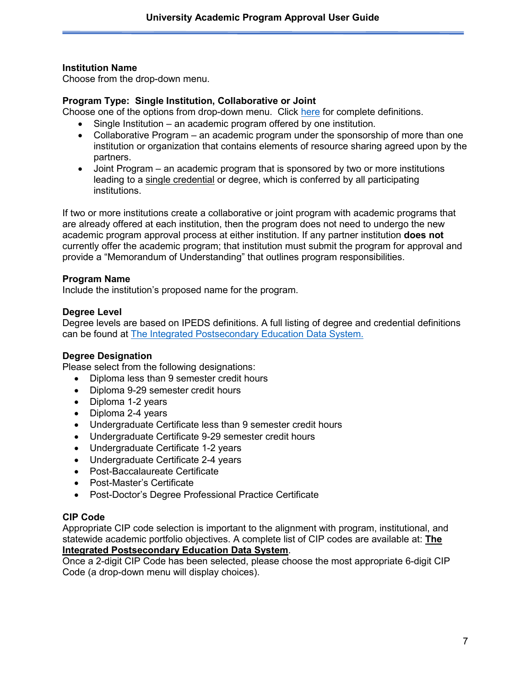#### **Institution Name**

Choose from the drop-down menu.

#### **Program Type: Single Institution, Collaborative or Joint**

Choose one of the options from drop-down menu. Click [here](http://cpe.ky.gov/policies/academicaffairs/newacademicprogramapprovalpolicyglossary.pdf) for complete definitions.

- Single Institution an academic program offered by one institution.
- Collaborative Program an academic program under the sponsorship of more than one institution or organization that contains elements of resource sharing agreed upon by the partners.
- Joint Program an academic program that is sponsored by two or more institutions leading to a single credential or degree, which is conferred by all participating institutions.

If two or more institutions create a collaborative or joint program with academic programs that are already offered at each institution, then the program does not need to undergo the new academic program approval process at either institution. If any partner institution **does not** currently offer the academic program; that institution must submit the program for approval and provide a "Memorandum of Understanding" that outlines program responsibilities.

#### **Program Name**

Include the institution's proposed name for the program.

#### **Degree Level**

Degree levels are based on IPEDS definitions. A full listing of degree and credential definitions can be found at [The Integrated Postsecondary Education Data System.](https://nces.ed.gov/ipeds/)

#### **Degree Designation**

Please select from the following designations:

- Diploma less than 9 semester credit hours
- Diploma 9-29 semester credit hours
- Diploma 1-2 years
- Diploma 2-4 years
- Undergraduate Certificate less than 9 semester credit hours
- Undergraduate Certificate 9-29 semester credit hours
- Undergraduate Certificate 1-2 years
- Undergraduate Certificate 2-4 years
- Post-Baccalaureate Certificate
- Post-Master's Certificate
- Post-Doctor's Degree Professional Practice Certificate

#### **CIP Code**

Appropriate CIP code selection is important to the alignment with program, institutional, and statewide academic portfolio objectives. A complete list of CIP codes are available at: **[The](https://nces.ed.gov/ipeds/)  [Integrated Postsecondary Education Data System](https://nces.ed.gov/ipeds/)**.

Once a 2-digit CIP Code has been selected, please choose the most appropriate 6-digit CIP Code (a drop-down menu will display choices).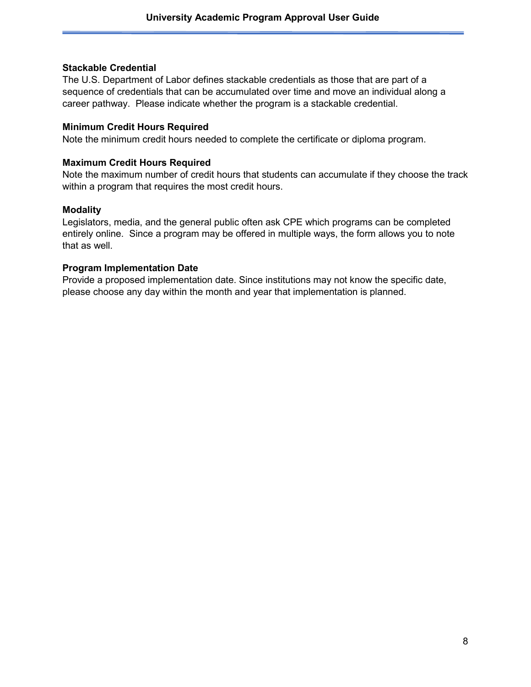#### **Stackable Credential**

The U.S. Department of Labor defines stackable credentials as those that are part of a sequence of credentials that can be accumulated over time and move an individual along a career pathway. Please indicate whether the program is a stackable credential.

#### **Minimum Credit Hours Required**

Note the minimum credit hours needed to complete the certificate or diploma program.

#### **Maximum Credit Hours Required**

Note the maximum number of credit hours that students can accumulate if they choose the track within a program that requires the most credit hours.

#### **Modality**

Legislators, media, and the general public often ask CPE which programs can be completed entirely online. Since a program may be offered in multiple ways, the form allows you to note that as well.

#### **Program Implementation Date**

Provide a proposed implementation date. Since institutions may not know the specific date, please choose any day within the month and year that implementation is planned.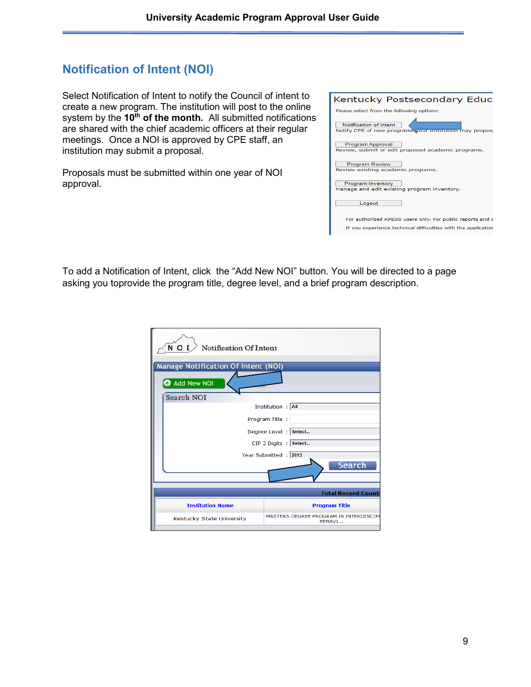# **Notification of Intent (NOI)**

Select Notification of Intent to notify the Council of intent to create a new program. The institution will post to the online system by the 10<sup>th</sup> of the month. All submitted notifications are shared with the chief academic officers at their regular meetings. Once a NOI is approved by CPE staff, an institution may submit a proposal.

Proposals must be submitted within one year of NOI approval.

| Kentucky Postsecondary Educ                                                              |  |  |  |  |
|------------------------------------------------------------------------------------------|--|--|--|--|
| Please select from the following options:                                                |  |  |  |  |
| <b>Notification of Intent</b><br>Notify CPE of new programs your institution may propose |  |  |  |  |
| <b>Program Approval</b><br>Review, submit or edit proposed academic programs.            |  |  |  |  |
| <b>Program Review</b><br>Review existing academic programs.                              |  |  |  |  |
| <b>Program Inventory</b><br>Manage and edit existing program inventory.                  |  |  |  |  |
| Logout                                                                                   |  |  |  |  |
| For authorized KPEDS users only. For public reports and s                                |  |  |  |  |
| If you experience technical difficulties with the application                            |  |  |  |  |

To add a Notification of Intent, click the "Add New NOI" button. You will be directed to a page asking you toprovide the program title, degree level, and a brief program description.

| $\tilde{N}$ O I<br>Notification Of Intent                                     |  |  |  |
|-------------------------------------------------------------------------------|--|--|--|
| <b>Manage Notification Of Intent (NOI)</b>                                    |  |  |  |
| Add New NOI                                                                   |  |  |  |
| <b>Search NOI</b>                                                             |  |  |  |
| Institution : All                                                             |  |  |  |
| Program Title :                                                               |  |  |  |
| Degree Level : Select                                                         |  |  |  |
| CIP 2 Digits : Select                                                         |  |  |  |
| Year Submitted: 2013<br><b>Search</b>                                         |  |  |  |
|                                                                               |  |  |  |
| <b>Total Record Count:</b>                                                    |  |  |  |
|                                                                               |  |  |  |
| <b>Institution Name</b><br><b>Program Title</b>                               |  |  |  |
| MASTERS DEGREE PROGRAM IN INTERDISCIPL<br>Kentucky State University<br>BEHAVI |  |  |  |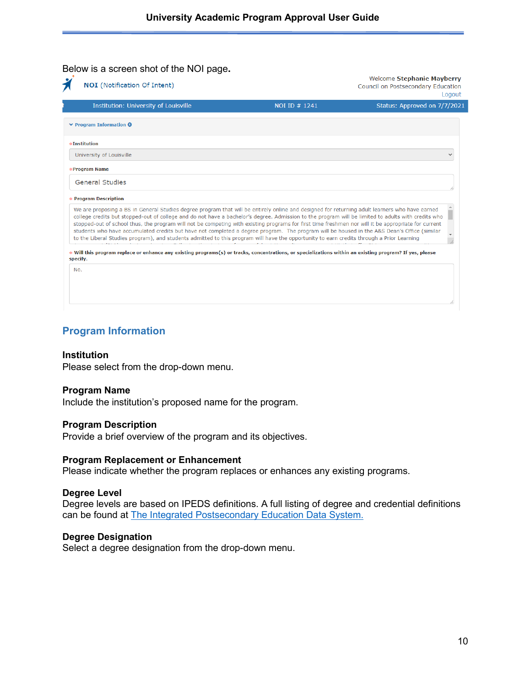Ξ

alar a

#### Below is a screen shot of the NOI page**.**

| <b>NOI</b> (Notification Of Intent)                                                                                                                                                                                                                                                                                                                                                                                                                                                                                                                                                                                                                                                                                                                      |               | Welcome Stephanie Mayberry<br>Council on Postsecondary Education<br>Logout |
|----------------------------------------------------------------------------------------------------------------------------------------------------------------------------------------------------------------------------------------------------------------------------------------------------------------------------------------------------------------------------------------------------------------------------------------------------------------------------------------------------------------------------------------------------------------------------------------------------------------------------------------------------------------------------------------------------------------------------------------------------------|---------------|----------------------------------------------------------------------------|
| Institution: University of Louisville                                                                                                                                                                                                                                                                                                                                                                                                                                                                                                                                                                                                                                                                                                                    | NOI ID # 1241 | Status: Approved on 7/7/2021                                               |
| $\vee$ Program Information $\Theta$                                                                                                                                                                                                                                                                                                                                                                                                                                                                                                                                                                                                                                                                                                                      |               |                                                                            |
| #Institution                                                                                                                                                                                                                                                                                                                                                                                                                                                                                                                                                                                                                                                                                                                                             |               |                                                                            |
| University of Louisville                                                                                                                                                                                                                                                                                                                                                                                                                                                                                                                                                                                                                                                                                                                                 |               |                                                                            |
| <b>*Program Name</b>                                                                                                                                                                                                                                                                                                                                                                                                                                                                                                                                                                                                                                                                                                                                     |               |                                                                            |
| <b>General Studies</b>                                                                                                                                                                                                                                                                                                                                                                                                                                                                                                                                                                                                                                                                                                                                   |               |                                                                            |
| <b>* Program Description</b>                                                                                                                                                                                                                                                                                                                                                                                                                                                                                                                                                                                                                                                                                                                             |               |                                                                            |
| We are proposing a BS in General Studies degree program that will be entirely online and designed for returning adult learners who have earned<br>college credits but stopped-out of college and do not have a bachelor's degree. Admission to the program will be limited to adults with credits who<br>stopped-out of school thus, the program will not be competing with existing programs for first time freshmen nor will it be appropriate for current<br>students who have accumulated credits but have not completed a degree program. The program will be housed in the A&S Dean's Office (similar<br>to the Liberal Studies program), and students admitted to this program will have the opportunity to earn credits through a Prior Learning |               |                                                                            |
| Will this program replace or enhance any existing programs(s) or tracks, concentrations, or specializations within an existing program? If yes, please<br>specify.                                                                                                                                                                                                                                                                                                                                                                                                                                                                                                                                                                                       |               |                                                                            |
| No.                                                                                                                                                                                                                                                                                                                                                                                                                                                                                                                                                                                                                                                                                                                                                      |               |                                                                            |
|                                                                                                                                                                                                                                                                                                                                                                                                                                                                                                                                                                                                                                                                                                                                                          |               |                                                                            |
|                                                                                                                                                                                                                                                                                                                                                                                                                                                                                                                                                                                                                                                                                                                                                          |               |                                                                            |

#### **Program Information**

#### **Institution**

Please select from the drop-down menu.

#### **Program Name**

Include the institution's proposed name for the program.

#### **Program Description**

Provide a brief overview of the program and its objectives.

#### **Program Replacement or Enhancement**

Please indicate whether the program replaces or enhances any existing programs.

#### **Degree Level**

Degree levels are based on IPEDS definitions. A full listing of degree and credential definitions can be found at [The Integrated Postsecondary Education Data System.](https://nces.ed.gov/ipeds/)

#### **Degree Designation**

Select a degree designation from the drop-down menu.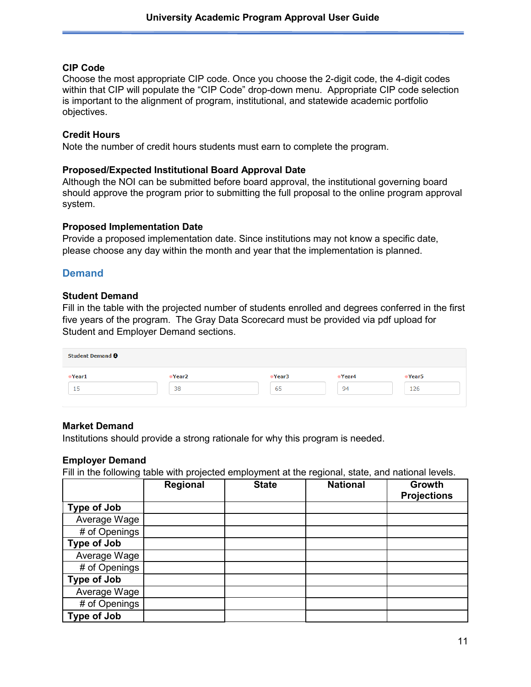#### **CIP Code**

Choose the most appropriate CIP code. Once you choose the 2-digit code, the 4-digit codes within that CIP will populate the "CIP Code" drop-down menu.Appropriate CIP code selection is important to the alignment of program, institutional, and statewide academic portfolio objectives.

#### **Credit Hours**

Note the number of credit hours students must earn to complete the program.

#### **Proposed/Expected Institutional Board Approval Date**

Although the NOI can be submitted before board approval, the institutional governing board should approve the program prior to submitting the full proposal to the online program approval system.

#### **Proposed Implementation Date**

Provide a proposed implementation date. Since institutions may not know a specific date, please choose any day within the month and year that the implementation is planned.

#### **Demand**

#### **Student Demand**

Fill in the table with the projected number of students enrolled and degrees conferred in the first five years of the program. The Gray Data Scorecard must be provided via pdf upload for Student and Employer Demand sections.

| Student Demand $\Theta$ |        |        |        |        |
|-------------------------|--------|--------|--------|--------|
| Year1                   | *Year2 | *Year3 | *Year4 | *Year5 |
| 15                      | 38     | 65     | 94     | 126    |
|                         |        |        |        |        |

#### **Market Demand**

Institutions should provide a strong rationale for why this program is needed.

#### **Employer Demand**

Fill in the following table with projected employment at the regional, state, and national levels.

|                    | Regional | <b>State</b> | <b>National</b> | Growth<br><b>Projections</b> |
|--------------------|----------|--------------|-----------------|------------------------------|
| Type of Job        |          |              |                 |                              |
| Average Wage       |          |              |                 |                              |
| # of Openings      |          |              |                 |                              |
| <b>Type of Job</b> |          |              |                 |                              |
| Average Wage       |          |              |                 |                              |
| # of Openings      |          |              |                 |                              |
| Type of Job        |          |              |                 |                              |
| Average Wage       |          |              |                 |                              |
| # of Openings      |          |              |                 |                              |
| Type of Job        |          |              |                 |                              |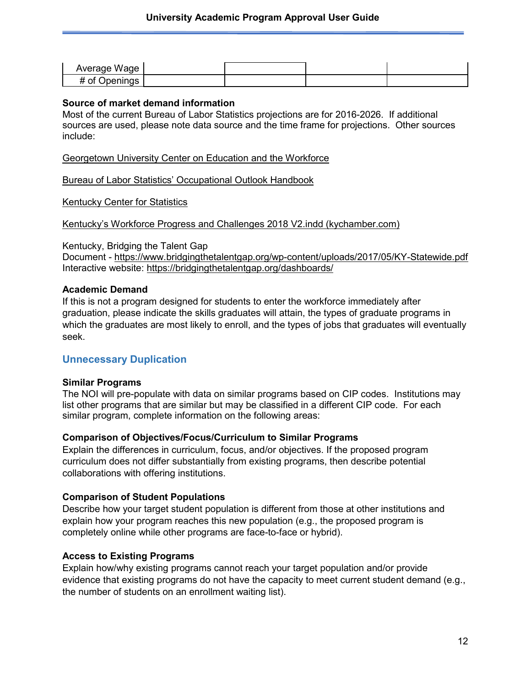| Average Wage       |  |  |
|--------------------|--|--|
| # of (<br>Openings |  |  |

#### **Source of market demand information**

Most of the current Bureau of Labor Statistics projections are for 2016-2026. If additional sources are used, please note data source and the time frame for projections. Other sources include:

[Georgetown University Center on Education and the Workforce](https://cew.georgetown.edu/)

[Bureau of Labor Statistics' Occupational Outlook Handbook](https://www.bls.gov/ooh/)

#### [Kentucky Center for Statistics](https://kcews.ky.gov/KYLMI)

[Kentucky's Workforce Progress and Challenges 2018 V2.indd \(kychamber.com\)](https://www.kychamber.com/sites/default/files/pdfs/Kentuckys%20Workforce%20Progress%20and%20Challenges%202018%20Final%20NEW_1.pdf)

Kentucky, Bridging the Talent Gap

Document - <https://www.bridgingthetalentgap.org/wp-content/uploads/2017/05/KY-Statewide.pdf> Interactive website:<https://bridgingthetalentgap.org/dashboards/>

#### **Academic Demand**

If this is not a program designed for students to enter the workforce immediately after graduation, please indicate the skills graduates will attain, the types of graduate programs in which the graduates are most likely to enroll, and the types of jobs that graduates will eventually seek.

#### **Unnecessary Duplication**

#### **Similar Programs**

The NOI will pre-populate with data on similar programs based on CIP codes. Institutions may list other programs that are similar but may be classified in a different CIP code. For each similar program, complete information on the following areas:

#### **Comparison of Objectives/Focus/Curriculum to Similar Programs**

Explain the differences in curriculum, focus, and/or objectives. If the proposed program curriculum does not differ substantially from existing programs, then describe potential collaborations with offering institutions.

#### **Comparison of Student Populations**

Describe how your target student population is different from those at other institutions and explain how your program reaches this new population (e.g., the proposed program is completely online while other programs are face-to-face or hybrid).

#### **Access to Existing Programs**

Explain how/why existing programs cannot reach your target population and/or provide evidence that existing programs do not have the capacity to meet current student demand (e.g., the number of students on an enrollment waiting list).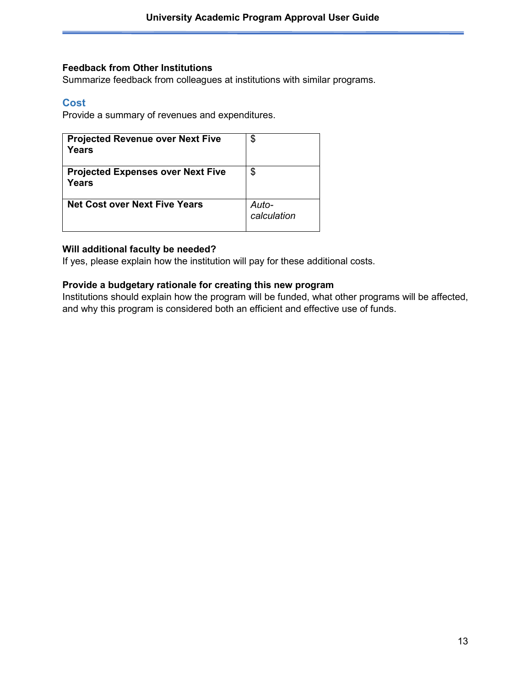#### **Feedback from Other Institutions**

Summarize feedback from colleagues at institutions with similar programs.

#### **Cost**

Provide a summary of revenues and expenditures.

| <b>Projected Revenue over Next Five</b><br>Years  | \$                   |
|---------------------------------------------------|----------------------|
| <b>Projected Expenses over Next Five</b><br>Years | \$                   |
| <b>Net Cost over Next Five Years</b>              | Auto-<br>calculation |

#### **Will additional faculty be needed?**

If yes, please explain how the institution will pay for these additional costs.

#### **Provide a budgetary rationale for creating this new program**

Institutions should explain how the program will be funded, what other programs will be affected, and why this program is considered both an efficient and effective use of funds.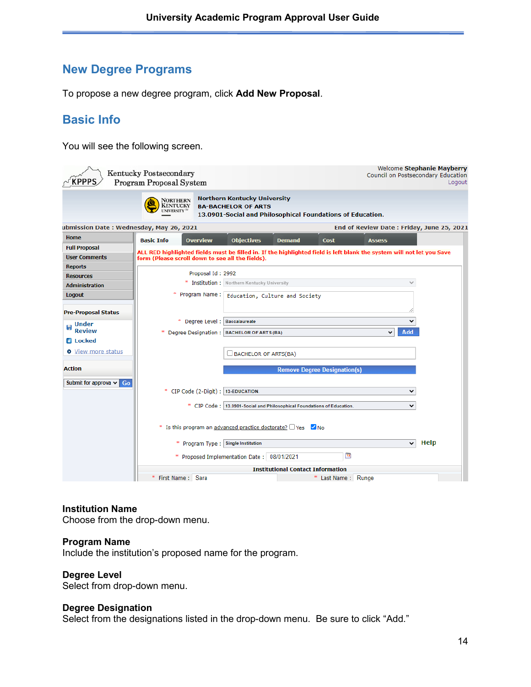# **New Degree Programs**

To propose a new degree program, click **Add New Proposal**.

# **Basic Info**

You will see the following screen.

| <b>KPPPS</b>                            | Kentucky Postsecondary<br><b>Program Proposal System</b>                                                                                                                                  | Welcome Stephanie Mayberry<br>Council on Postsecondary Education<br>Logout |
|-----------------------------------------|-------------------------------------------------------------------------------------------------------------------------------------------------------------------------------------------|----------------------------------------------------------------------------|
|                                         | <b>Northern Kentucky University</b><br>NORTHERN<br><b>KENTUCKY</b><br><b>BA-BACHELOR OF ARTS</b><br>UNIVERSITY <sup>5</sup><br>13.0901-Social and Philosophical Foundations of Education. |                                                                            |
| ubmission Date: Wednesday, May 26, 2021 |                                                                                                                                                                                           | End of Review Date: Friday, June 25, 2021                                  |
| Home                                    | <b>Basic Info</b><br><b>Overview</b><br><b>Objectives</b><br>Cost<br><b>Demand</b>                                                                                                        | <b>Assess</b>                                                              |
| <b>Full Proposal</b>                    | ALL RED highlighted fields must be filled in. If the highlighted field is left blank the system will not let you Save                                                                     |                                                                            |
| <b>User Comments</b>                    | form (Please scroll down to see all the fields).                                                                                                                                          |                                                                            |
| <b>Reports</b>                          | Proposal Id: 2992                                                                                                                                                                         |                                                                            |
| <b>Resources</b>                        | * Institution : Northern Kentucky University                                                                                                                                              |                                                                            |
| <b>Administration</b>                   | ×                                                                                                                                                                                         |                                                                            |
| <b>Logout</b>                           | Program Name: Education, Culture and Society                                                                                                                                              |                                                                            |
| <b>Pre-Proposal Status</b>              |                                                                                                                                                                                           |                                                                            |
| Under                                   | * Degree Level : Baccalaureate                                                                                                                                                            | $\checkmark$                                                               |
| <b>Review</b>                           | Degree Designation:   BACHELOR OF ARTS (BA)<br>×                                                                                                                                          | Add<br>$\check{ }$                                                         |
| <b>E</b> Locked                         |                                                                                                                                                                                           |                                                                            |
| <b>O</b> View more status               | <b>BACHELOR OF ARTS(BA)</b>                                                                                                                                                               |                                                                            |
| <b>Action</b>                           | <b>Remove Degree Designation(s)</b>                                                                                                                                                       |                                                                            |
| Submit for approva $\vee$ Go            |                                                                                                                                                                                           |                                                                            |
|                                         | * CIP Code (2-Digit) : 13-EDUCATION.                                                                                                                                                      | v                                                                          |
|                                         |                                                                                                                                                                                           |                                                                            |
|                                         | * CIP Code: 13.0901-Social and Philosophical Foundations of Education.                                                                                                                    | v                                                                          |
|                                         |                                                                                                                                                                                           |                                                                            |
|                                         | * Is this program an advanced practice doctorate? $\Box$ Yes $\Box$ No                                                                                                                    |                                                                            |
|                                         | * Program Type ; Single Institution                                                                                                                                                       | <b>Help</b><br>$\checkmark$                                                |
|                                         | $\frac{2}{12}$<br>* Proposed Implementation Date: 08/01/2021                                                                                                                              |                                                                            |
|                                         | <b>Institutional Contact Information</b>                                                                                                                                                  |                                                                            |
|                                         | * First Name: Sara<br>* Last Name : Runge                                                                                                                                                 |                                                                            |

#### **Institution Name**

Choose from the drop-down menu.

#### **Program Name**

Include the institution's proposed name for the program.

#### **Degree Level**

Select from drop-down menu.

#### **Degree Designation**

Select from the designations listed in the drop-down menu. Be sure to click "Add."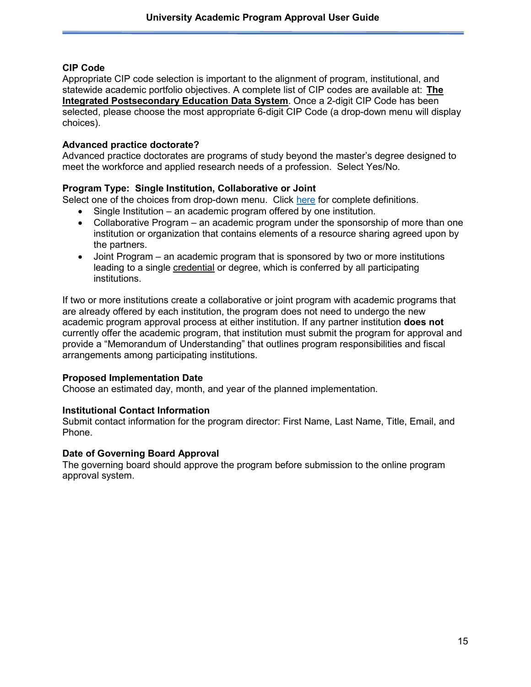#### **CIP Code**

Appropriate CIP code selection is important to the alignment of program, institutional, and statewide academic portfolio objectives. A complete list of CIP codes are available at: **[The](https://nces.ed.gov/ipeds/)  [Integrated Postsecondary Education Data System](https://nces.ed.gov/ipeds/)**. Once a 2-digit CIP Code has been selected, please choose the most appropriate 6-digit CIP Code (a drop-down menu will display choices).

#### **Advanced practice doctorate?**

Advanced practice doctorates are programs of study beyond the master's degree designed to meet the workforce and applied research needs of a profession. Select Yes/No.

#### **Program Type: Single Institution, Collaborative or Joint**

Select one of the choices from drop-down menu. Click [here](http://cpe.ky.gov/policies/academicaffairs/newacademicprogramapprovalpolicyglossary.pdf) for complete definitions.

- Single Institution an academic program offered by one institution.
- Collaborative Program an academic program under the sponsorship of more than one institution or organization that contains elements of a resource sharing agreed upon by the partners.
- Joint Program an academic program that is sponsored by two or more institutions leading to a single credential or degree, which is conferred by all participating institutions.

If two or more institutions create a collaborative or joint program with academic programs that are already offered by each institution, the program does not need to undergo the new academic program approval process at either institution. If any partner institution **does not** currently offer the academic program, that institution must submit the program for approval and provide a "Memorandum of Understanding" that outlines program responsibilities and fiscal arrangements among participating institutions.

#### **Proposed Implementation Date**

Choose an estimated day, month, and year of the planned implementation.

#### **Institutional Contact Information**

Submit contact information for the program director: First Name, Last Name, Title, Email, and Phone.

#### **Date of Governing Board Approval**

The governing board should approve the program before submission to the online program approval system.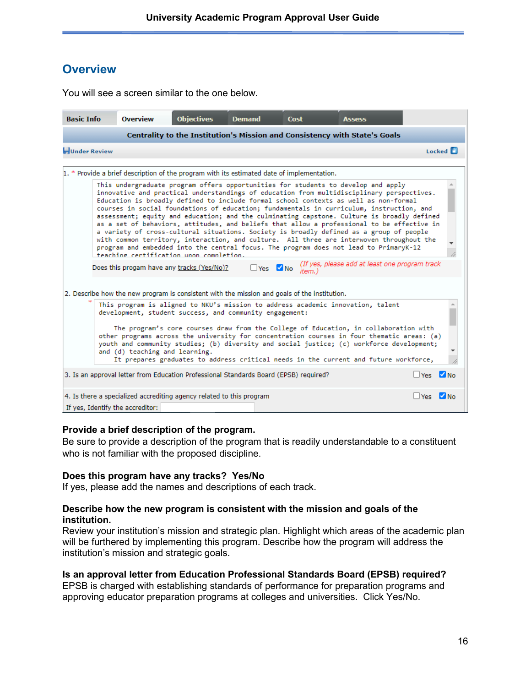## **Overview**

| <b>Basic Info</b>    | Overview                                                                                                 | <b>Objectives</b> | <b>Demand</b>                | Cost   | Assess                                                                                                                                                                                                                                                                                                                                                                                                                                                                                                                                                                                                                                                                                                                                                                                                                                         |                     |                 |
|----------------------|----------------------------------------------------------------------------------------------------------|-------------------|------------------------------|--------|------------------------------------------------------------------------------------------------------------------------------------------------------------------------------------------------------------------------------------------------------------------------------------------------------------------------------------------------------------------------------------------------------------------------------------------------------------------------------------------------------------------------------------------------------------------------------------------------------------------------------------------------------------------------------------------------------------------------------------------------------------------------------------------------------------------------------------------------|---------------------|-----------------|
|                      |                                                                                                          |                   |                              |        | Centrality to the Institution's Mission and Consistency with State's Goals                                                                                                                                                                                                                                                                                                                                                                                                                                                                                                                                                                                                                                                                                                                                                                     |                     |                 |
| <b>HUnder Review</b> |                                                                                                          |                   |                              |        |                                                                                                                                                                                                                                                                                                                                                                                                                                                                                                                                                                                                                                                                                                                                                                                                                                                |                     | Locked <b>E</b> |
|                      | 1. * Provide a brief description of the program with its estimated date of implementation.               |                   |                              |        |                                                                                                                                                                                                                                                                                                                                                                                                                                                                                                                                                                                                                                                                                                                                                                                                                                                |                     |                 |
|                      | teaching certification upon completion.                                                                  |                   |                              |        | This undergraduate program offers opportunities for students to develop and apply<br>innovative and practical understandings of education from multidisciplinary perspectives.<br>Education is broadly defined to include formal school contexts as well as non-formal<br>courses in social foundations of education; fundamentals in curriculum, instruction, and<br>assessment; equity and education; and the culminating capstone. Culture is broadly defined<br>as a set of behaviors, attitudes, and beliefs that allow a professional to be effective in<br>a variety of cross-cultural situations. Society is broadly defined as a group of people<br>with common territory, interaction, and culture. All three are interwoven throughout the<br>program and embedded into the central focus. The program does not lead to PrimaryK-12 |                     |                 |
|                      | Does this progam have any tracks (Yes/No)?                                                               |                   | $\Box$ Yes $\blacksquare$ No | item.) | (If yes, please add at least one program track                                                                                                                                                                                                                                                                                                                                                                                                                                                                                                                                                                                                                                                                                                                                                                                                 |                     |                 |
|                      | 2. Describe how the new program is consistent with the mission and goals of the institution.             |                   |                              |        |                                                                                                                                                                                                                                                                                                                                                                                                                                                                                                                                                                                                                                                                                                                                                                                                                                                |                     |                 |
|                      | development, student success, and community engagement:<br>and (d) teaching and learning.                |                   |                              |        | This program is aligned to NKU's mission to address academic innovation, talent<br>The program's core courses draw from the College of Education, in collaboration with<br>other programs across the university for concentration courses in four thematic areas: (a)<br>youth and community studies; (b) diversity and social justice; (c) workforce development;<br>It prepares graduates to address critical needs in the current and future workforce,                                                                                                                                                                                                                                                                                                                                                                                     |                     |                 |
|                      | 3. Is an approval letter from Education Professional Standards Board (EPSB) required?                    |                   |                              |        |                                                                                                                                                                                                                                                                                                                                                                                                                                                                                                                                                                                                                                                                                                                                                                                                                                                | $Nes$ $N_0$         |                 |
|                      | 4. Is there a specialized accrediting agency related to this program<br>If yes, Identify the accreditor: |                   |                              |        |                                                                                                                                                                                                                                                                                                                                                                                                                                                                                                                                                                                                                                                                                                                                                                                                                                                | Ves <sup>V</sup> No |                 |

You will see a screen similar to the one below.

#### **Provide a brief description of the program.**

Be sure to provide a description of the program that is readily understandable to a constituent who is not familiar with the proposed discipline.

#### **Does this program have any tracks? Yes/No**

If yes, please add the names and descriptions of each track.

#### **Describe how the new program is consistent with the mission and goals of the institution.**

Review your institution's mission and strategic plan. Highlight which areas of the academic plan will be furthered by implementing this program. Describe how the program will address the institution's mission and strategic goals.

#### **Is an approval letter from Education Professional Standards Board (EPSB) required?**

EPSB is charged with establishing standards of performance for preparation programs and approving educator preparation programs at colleges and universities. Click Yes/No.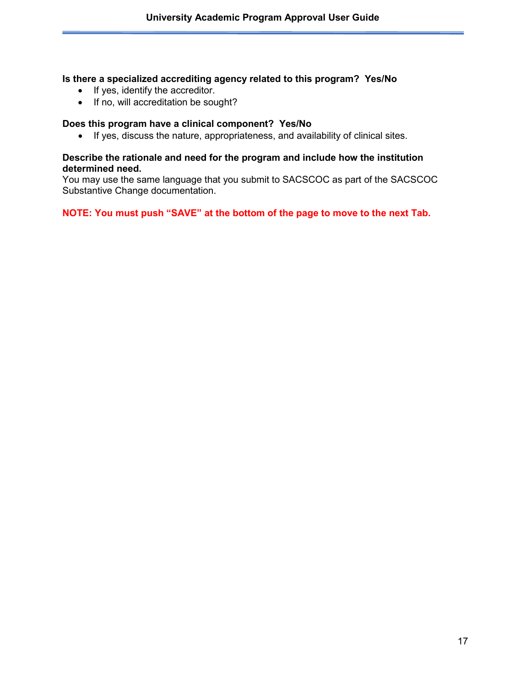#### **Is there a specialized accrediting agency related to this program? Yes/No**

- If yes, identify the accreditor.
- If no, will accreditation be sought?

#### **Does this program have a clinical component? Yes/No**

• If yes, discuss the nature, appropriateness, and availability of clinical sites.

#### **Describe the rationale and need for the program and include how the institution determined need.**

You may use the same language that you submit to SACSCOC as part of the SACSCOC Substantive Change documentation.

**NOTE: You must push "SAVE" at the bottom of the page to move to the next Tab.**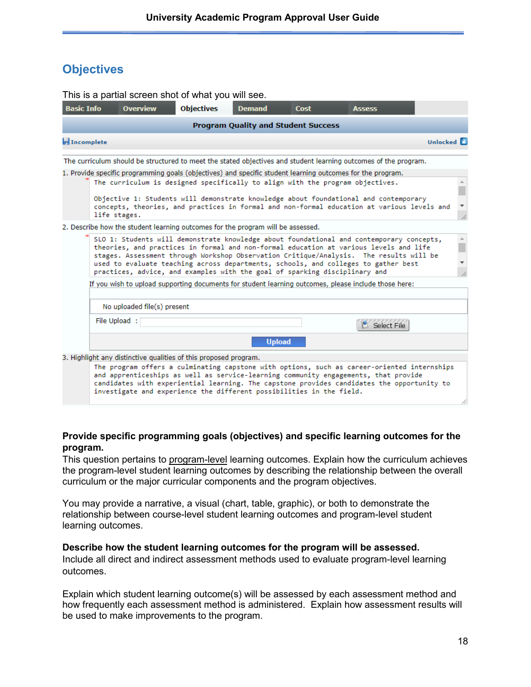# **Objectives**

|                   |                                            | This is a partial screen shot of what you will see.                             |               |               |                                                                                                                                                                                                                                                                                                                                                                   |                 |  |  |  |
|-------------------|--------------------------------------------|---------------------------------------------------------------------------------|---------------|---------------|-------------------------------------------------------------------------------------------------------------------------------------------------------------------------------------------------------------------------------------------------------------------------------------------------------------------------------------------------------------------|-----------------|--|--|--|
| <b>Basic Info</b> | <b>Overview</b>                            | <b>Objectives</b>                                                               | <b>Demand</b> | Cost          | Assess                                                                                                                                                                                                                                                                                                                                                            |                 |  |  |  |
|                   | <b>Program Quality and Student Success</b> |                                                                                 |               |               |                                                                                                                                                                                                                                                                                                                                                                   |                 |  |  |  |
| Incomplete        |                                            |                                                                                 |               |               |                                                                                                                                                                                                                                                                                                                                                                   | <b>Unlocked</b> |  |  |  |
|                   |                                            |                                                                                 |               |               | The curriculum should be structured to meet the stated objectives and student learning outcomes of the program.                                                                                                                                                                                                                                                   |                 |  |  |  |
|                   | life stages.                               | The curriculum is designed specifically to align with the program objectives.   |               |               | 1. Provide specific programming goals (objectives) and specific student learning outcomes for the program.<br>Objective 1: Students will demonstrate knowledge about foundational and contemporary<br>concepts, theories, and practices in formal and non-formal education at various levels and                                                                  |                 |  |  |  |
|                   |                                            | 2. Describe how the student learning outcomes for the program will be assessed. |               |               |                                                                                                                                                                                                                                                                                                                                                                   |                 |  |  |  |
|                   |                                            | practices, advice, and examples with the goal of sparking disciplinary and      |               |               | SLO 1: Students will demonstrate knowledge about foundational and contemporary concepts,<br>theories, and practices in formal and non-formal education at various levels and life<br>stages. Assessment through Workshop Observation Critique/Analysis. The results will be<br>used to evaluate teaching across departments, schools, and colleges to gather best |                 |  |  |  |
|                   |                                            |                                                                                 |               |               | If you wish to upload supporting documents for student learning outcomes, please include those here:                                                                                                                                                                                                                                                              |                 |  |  |  |
|                   | No uploaded file(s) present                |                                                                                 |               |               |                                                                                                                                                                                                                                                                                                                                                                   |                 |  |  |  |
|                   | File Upload:                               |                                                                                 |               |               | Select File                                                                                                                                                                                                                                                                                                                                                       |                 |  |  |  |
|                   |                                            |                                                                                 |               | <b>Upload</b> |                                                                                                                                                                                                                                                                                                                                                                   |                 |  |  |  |
|                   |                                            | 3. Highlight any distinctive qualities of this proposed program.                |               |               |                                                                                                                                                                                                                                                                                                                                                                   |                 |  |  |  |
|                   |                                            | investigate and experience the different possibilities in the field.            |               |               | The program offers a culminating capstone with options, such as career-oriented internships<br>and apprenticeships as well as service-learning community engagements, that provide<br>candidates with experiential learning. The capstone provides candidates the opportunity to                                                                                  |                 |  |  |  |

#### **Provide specific programming goals (objectives) and specific learning outcomes for the program.**

This question pertains to program-level learning outcomes. Explain how the curriculum achieves the program-level student learning outcomes by describing the relationship between the overall curriculum or the major curricular components and the program objectives.

You may provide a narrative, a visual (chart, table, graphic), or both to demonstrate the relationship between course-level student learning outcomes and program-level student learning outcomes.

#### **Describe how the student learning outcomes for the program will be assessed.**

Include all direct and indirect assessment methods used to evaluate program-level learning outcomes.

Explain which student learning outcome(s) will be assessed by each assessment method and how frequently each assessment method is administered. Explain how assessment results will be used to make improvements to the program.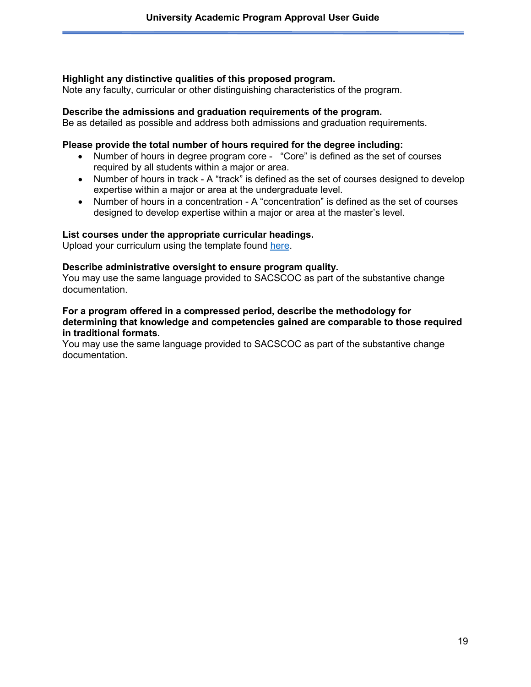#### **Highlight any distinctive qualities of this proposed program.**

Note any faculty, curricular or other distinguishing characteristics of the program.

#### **Describe the admissions and graduation requirements of the program.**

Be as detailed as possible and address both admissions and graduation requirements.

#### **Please provide the total number of hours required for the degree including:**

- Number of hours in degree program core "Core" is defined as the set of courses required by all students within a major or area.
- Number of hours in track A "track" is defined as the set of courses designed to develop expertise within a major or area at the undergraduate level.
- Number of hours in a concentration A "concentration" is defined as the set of courses designed to develop expertise within a major or area at the master's level.

#### **List courses under the appropriate curricular headings.**

Upload your curriculum using the template found [here.](http://www.cpe.ky.gov/policies/kppps/KPPPSCourseTemplate.xlsx)

#### **Describe administrative oversight to ensure program quality.**

You may use the same language provided to SACSCOC as part of the substantive change documentation.

#### **For a program offered in a compressed period, describe the methodology for determining that knowledge and competencies gained are comparable to those required in traditional formats.**

You may use the same language provided to SACSCOC as part of the substantive change documentation.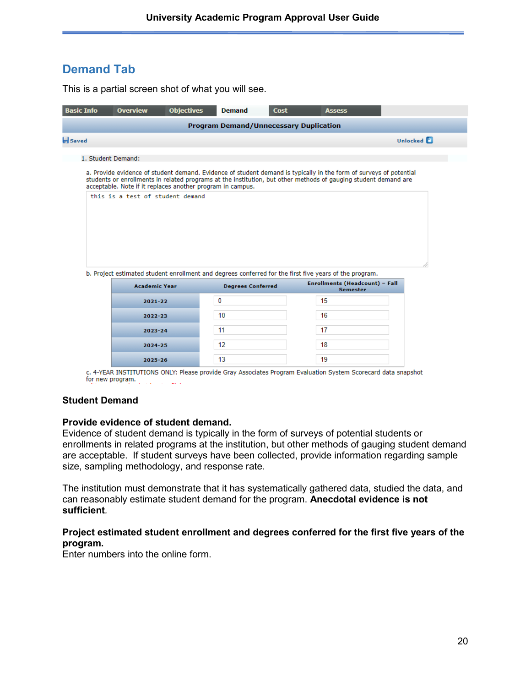# **Demand Tab**

This is a partial screen shot of what you will see.

| <b>Basic Info</b> | <b>Overview</b>                                            | <b>Objectives</b> | <b>Demand</b>                                 | <b>Cost</b> | <b>Assess</b>                                                                                                                                                                                                                         |                 |
|-------------------|------------------------------------------------------------|-------------------|-----------------------------------------------|-------------|---------------------------------------------------------------------------------------------------------------------------------------------------------------------------------------------------------------------------------------|-----------------|
|                   |                                                            |                   | <b>Program Demand/Unnecessary Duplication</b> |             |                                                                                                                                                                                                                                       |                 |
| Saved             |                                                            |                   |                                               |             |                                                                                                                                                                                                                                       | <b>Unlocked</b> |
|                   | 1. Student Demand:                                         |                   |                                               |             |                                                                                                                                                                                                                                       |                 |
|                   | acceptable. Note if it replaces another program in campus. |                   |                                               |             | a. Provide evidence of student demand. Evidence of student demand is typically in the form of surveys of potential<br>students or enrollments in related programs at the institution, but other methods of gauging student demand are |                 |
|                   | this is a test of student demand                           |                   |                                               |             |                                                                                                                                                                                                                                       |                 |
|                   |                                                            |                   |                                               |             |                                                                                                                                                                                                                                       |                 |
|                   |                                                            |                   |                                               |             |                                                                                                                                                                                                                                       |                 |
|                   |                                                            |                   |                                               |             |                                                                                                                                                                                                                                       |                 |
|                   |                                                            |                   |                                               |             | b. Project estimated student enrollment and degrees conferred for the first five years of the program.                                                                                                                                |                 |
|                   | <b>Academic Year</b>                                       |                   | <b>Degrees Conferred</b>                      |             | <b>Enrollments (Headcount) - Fall</b><br><b>Semester</b>                                                                                                                                                                              |                 |
|                   | $2021 - 22$                                                |                   | 0                                             |             | 15                                                                                                                                                                                                                                    |                 |
|                   | 2022-23                                                    |                   | 10                                            |             | 16                                                                                                                                                                                                                                    |                 |
|                   | 2023-24                                                    |                   | 11                                            |             | 17                                                                                                                                                                                                                                    |                 |
|                   | 2024-25                                                    |                   | 12                                            |             | 18                                                                                                                                                                                                                                    |                 |
|                   | 2025-26                                                    |                   | 13                                            |             | 19                                                                                                                                                                                                                                    |                 |

c. 4-YEAR INSTITUTIONS ONLY: Please provide Gray Associates Program Evaluation System Scorecard data snapshot for new program.

#### **Student Demand**

#### **Provide evidence of student demand.**

Evidence of student demand is typically in the form of surveys of potential students or enrollments in related programs at the institution, but other methods of gauging student demand are acceptable. If student surveys have been collected, provide information regarding sample size, sampling methodology, and response rate.

The institution must demonstrate that it has systematically gathered data, studied the data, and can reasonably estimate student demand for the program. **Anecdotal evidence is not sufficient***.* 

#### **Project estimated student enrollment and degrees conferred for the first five years of the program.**

Enter numbers into the online form.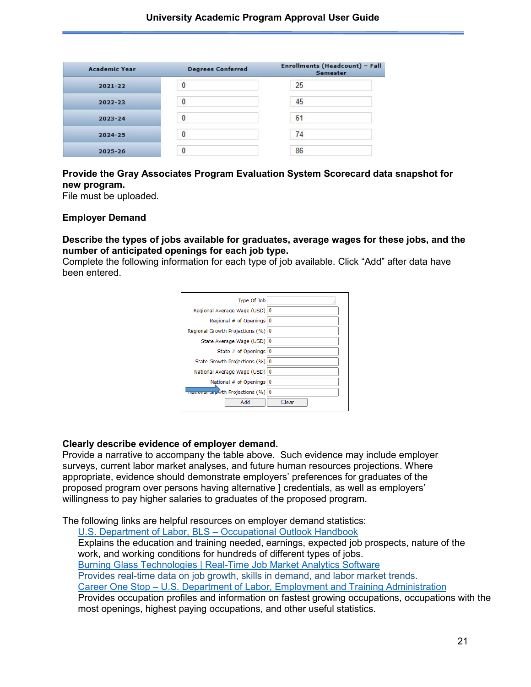| <b>Academic Year</b> | <b>Degrees Conferred</b> | Enrollments (Headcount) - Fall<br><b>Semester</b> |  |  |
|----------------------|--------------------------|---------------------------------------------------|--|--|
| $2021 - 22$          | 0                        | 25                                                |  |  |
| $2022 - 23$          | 0                        | 45                                                |  |  |
| $2023 - 24$          | $\bf{0}$                 | 61                                                |  |  |
| 2024-25              | 0                        | 74                                                |  |  |
| $2025 - 26$          | 0                        | 86                                                |  |  |

#### **Provide the Gray Associates Program Evaluation System Scorecard data snapshot for new program.**

File must be uploaded.

#### **Employer Demand**

#### **Describe the types of jobs available for graduates, average wages for these jobs, and the number of anticipated openings for each job type.**

Complete the following information for each type of job available. Click "Add" after data have been entered.

| Type Of Job                        |       |
|------------------------------------|-------|
| Regional Average Wage (USD) 0      |       |
| Regional # of Openings 0           |       |
| Regional Growth Projections (%) 0  |       |
| State Average Wage (USD) 0         |       |
| State # of Openings $ 0\rangle$    |       |
| State Growth Projections (%)   0   |       |
| National Average Wage (USD) 0      |       |
| National # of Openings   0         |       |
| wagonar on Ath Projections (%)   0 |       |
| Add                                | Clear |
|                                    |       |

#### **Clearly describe evidence of employer demand.**

Provide a narrative to accompany the table above. Such evidence may include employer surveys, current labor market analyses, and future human resources projections. Where appropriate, evidence should demonstrate employers' preferences for graduates of the proposed program over persons having alternative ] credentials, as well as employers' willingness to pay higher salaries to graduates of the proposed program.

The following links are helpful resources on employer demand statistics:

[U.S. Department of Labor, BLS –](http://www.bls.gov/ooh/) Occupational Outlook Handbook Explains the education and training needed, earnings, expected job prospects, nature of the work, and working conditions for hundreds of different types of jobs. [Burning Glass Technologies | Real-Time Job Market Analytics Software](https://www.burning-glass.com/)  Provides real-time data on job growth, skills in demand, and labor market trends. Career One Stop – [U.S. Department of Labor, Employment and Training Administration](http://www.acinet.org/Occ_Intro.asp?id=1,&nodeid=1) Provides occupation profiles and information on fastest growing occupations, occupations with the most openings, highest paying occupations, and other useful statistics.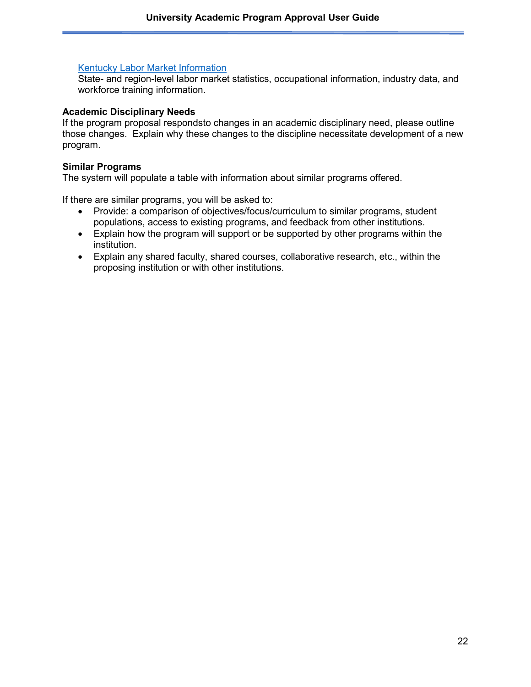#### [Kentucky Labor Market Information](https://kylmi.ky.gov/vosnet/Default.aspx)

State- and region-level labor market statistics, occupational information, industry data, and workforce training information.

#### **Academic Disciplinary Needs**

If the program proposal respondsto changes in an academic disciplinary need, please outline those changes. Explain why these changes to the discipline necessitate development of a new program.

#### **Similar Programs**

The system will populate a table with information about similar programs offered.

If there are similar programs, you will be asked to:

- Provide: a comparison of objectives/focus/curriculum to similar programs, student populations, access to existing programs, and feedback from other institutions.
- Explain how the program will support or be supported by other programs within the institution.
- Explain any shared faculty, shared courses, collaborative research, etc., within the proposing institution or with other institutions.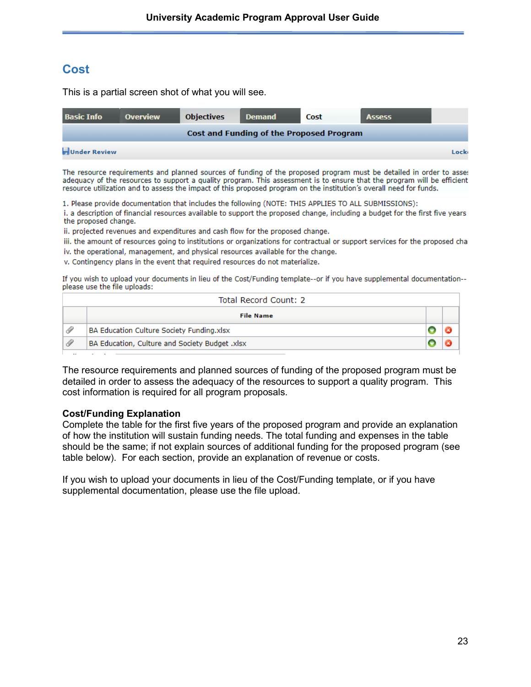## **Cost**

This is a partial screen shot of what you will see.

| <b>Basic Info</b>    | <b>Overview</b> | <b>Objectives</b> | <b>Demand</b>                            | Cost | <b>Assess</b> |      |
|----------------------|-----------------|-------------------|------------------------------------------|------|---------------|------|
|                      |                 |                   | Cost and Funding of the Proposed Program |      |               |      |
| <b>Junder Review</b> |                 |                   |                                          |      |               | Lock |

The resource requirements and planned sources of funding of the proposed program must be detailed in order to asses adequacy of the resources to support a quality program. This assessment is to ensure that the program will be efficient resource utilization and to assess the impact of this proposed program on the institution's overall need for funds.

1. Please provide documentation that includes the following (NOTE: THIS APPLIES TO ALL SUBMISSIONS):

i, a description of financial resources available to support the proposed change, including a budget for the first five years the proposed change.

ii, projected revenues and expenditures and cash flow for the proposed change.

iii. the amount of resources going to institutions or organizations for contractual or support services for the proposed cha iv. the operational, management, and physical resources available for the change.

v. Contingency plans in the event that required resources do not materialize.

If you wish to upload your documents in lieu of the Cost/Funding template--or if you have supplemental documentation-please use the file uploads:

|  | Total Record Count: 2                          |  |
|--|------------------------------------------------|--|
|  | <b>File Name</b>                               |  |
|  | BA Education Culture Society Funding.xlsx      |  |
|  | BA Education, Culture and Society Budget .xlsx |  |
|  |                                                |  |

The resource requirements and planned sources of funding of the proposed program must be detailed in order to assess the adequacy of the resources to support a quality program. This cost information is required for all program proposals.

#### **Cost/Funding Explanation**

Complete the table for the first five years of the proposed program and provide an explanation of how the institution will sustain funding needs. The total funding and expenses in the table should be the same; if not explain sources of additional funding for the proposed program (see table below). For each section, provide an explanation of revenue or costs.

If you wish to upload your documents in lieu of the Cost/Funding template, or if you have supplemental documentation, please use the file upload.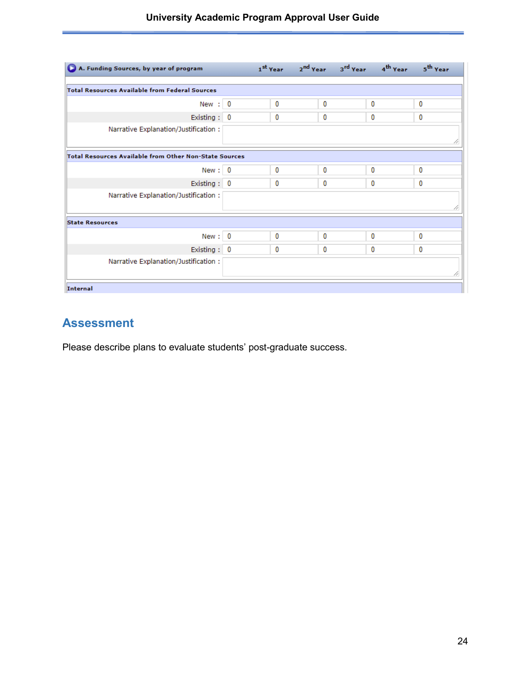| A. Funding Sources, by year of program                        |   |   | 1 <sup>st</sup> Year 2 <sup>nd</sup> Year 3 <sup>rd</sup> Year 4 <sup>th</sup> Year | 5 <sup>th</sup> Year |
|---------------------------------------------------------------|---|---|-------------------------------------------------------------------------------------|----------------------|
| <b>Total Resources Available from Federal Sources</b>         |   |   |                                                                                     |                      |
| New $: 0$                                                     | 0 | 0 | 0                                                                                   | 0                    |
| Existing: 0                                                   | 0 | 0 | 0                                                                                   | 0                    |
| Narrative Explanation/Justification:                          |   |   |                                                                                     |                      |
| <b>Total Resources Available from Other Non-State Sources</b> |   |   |                                                                                     |                      |
| New: 0                                                        | 0 | 0 | 0                                                                                   | 0                    |
| Existing: 0                                                   | 0 | 0 | 0                                                                                   | 0                    |
| Narrative Explanation/Justification:                          |   |   |                                                                                     |                      |
| <b>State Resources</b>                                        |   |   |                                                                                     |                      |
| New: 0                                                        | 0 | 0 | 0                                                                                   | 0                    |
| Existing: 0                                                   | 0 | 0 | 0                                                                                   | 0                    |
| Narrative Explanation/Justification:                          |   |   |                                                                                     |                      |
| <b>Internal</b>                                               |   |   |                                                                                     |                      |

# **Assessment**

Please describe plans to evaluate students' post-graduate success.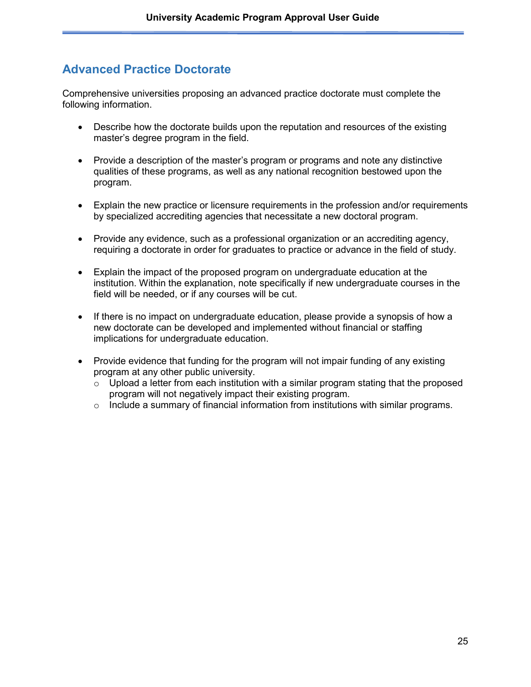# **Advanced Practice Doctorate**

Comprehensive universities proposing an advanced practice doctorate must complete the following information.

- Describe how the doctorate builds upon the reputation and resources of the existing master's degree program in the field.
- Provide a description of the master's program or programs and note any distinctive qualities of these programs, as well as any national recognition bestowed upon the program.
- Explain the new practice or licensure requirements in the profession and/or requirements by specialized accrediting agencies that necessitate a new doctoral program.
- Provide any evidence, such as a professional organization or an accrediting agency, requiring a doctorate in order for graduates to practice or advance in the field of study.
- Explain the impact of the proposed program on undergraduate education at the institution. Within the explanation, note specifically if new undergraduate courses in the field will be needed, or if any courses will be cut.
- If there is no impact on undergraduate education, please provide a synopsis of how a new doctorate can be developed and implemented without financial or staffing implications for undergraduate education.
- Provide evidence that funding for the program will not impair funding of any existing program at any other public university.
	- $\circ$  Upload a letter from each institution with a similar program stating that the proposed program will not negatively impact their existing program.
	- $\circ$  Include a summary of financial information from institutions with similar programs.